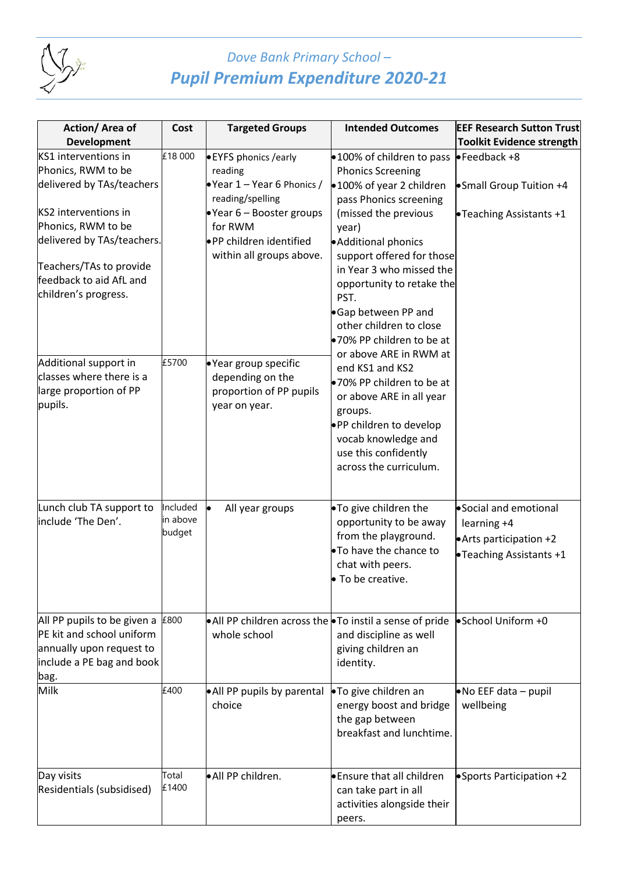

## *Dove Bank Primary School – Pupil Premium Expenditure 2020-21*

| Action/Area of              | Cost     | <b>Targeted Groups</b>                                            | <b>Intended Outcomes</b>                           | <b>EEF Research Sutton Trust</b> |
|-----------------------------|----------|-------------------------------------------------------------------|----------------------------------------------------|----------------------------------|
| <b>Development</b>          |          |                                                                   |                                                    | <b>Toolkit Evidence strength</b> |
| KS1 interventions in        | £18 000  | <b>• EYFS phonics / early</b>                                     | •100% of children to pass                          | $\bullet$ Feedback +8            |
| Phonics, RWM to be          |          | reading                                                           | <b>Phonics Screening</b>                           |                                  |
| delivered by TAs/teachers   |          | Year $1 -$ Year 6 Phonics /<br>reading/spelling                   | •100% of year 2 children<br>pass Phonics screening | • Small Group Tuition +4         |
| KS2 interventions in        |          | $\bullet$ Year 6 – Booster groups                                 | (missed the previous                               | •Teaching Assistants +1          |
| Phonics, RWM to be          |          | for RWM                                                           | year)                                              |                                  |
| delivered by TAs/teachers.  |          | ·PP children identified                                           | • Additional phonics                               |                                  |
|                             |          | within all groups above.                                          | support offered for those                          |                                  |
| Teachers/TAs to provide     |          |                                                                   | in Year 3 who missed the                           |                                  |
| feedback to aid AfL and     |          |                                                                   | opportunity to retake the                          |                                  |
| children's progress.        |          |                                                                   | PST.                                               |                                  |
|                             |          |                                                                   | Gap between PP and                                 |                                  |
|                             |          |                                                                   | other children to close                            |                                  |
|                             |          |                                                                   | ●70% PP children to be at                          |                                  |
| Additional support in       | £5700    |                                                                   | or above ARE in RWM at                             |                                  |
| classes where there is a    |          | ·Year group specific<br>depending on the                          | end KS1 and KS2                                    |                                  |
| large proportion of PP      |          | proportion of PP pupils                                           | ●70% PP children to be at                          |                                  |
| pupils.                     |          | year on year.                                                     | or above ARE in all year                           |                                  |
|                             |          |                                                                   | groups.                                            |                                  |
|                             |          |                                                                   | . PP children to develop                           |                                  |
|                             |          |                                                                   | vocab knowledge and                                |                                  |
|                             |          |                                                                   | use this confidently                               |                                  |
|                             |          |                                                                   | across the curriculum.                             |                                  |
|                             |          |                                                                   |                                                    |                                  |
| Lunch club TA support to    | Included | All year groups                                                   | . To give children the                             | Social and emotional             |
| include 'The Den'.          | in above |                                                                   | opportunity to be away                             | learning +4                      |
|                             | budget   |                                                                   | from the playground.                               | Arts participation +2            |
|                             |          |                                                                   | .To have the chance to                             | •Teaching Assistants +1          |
|                             |          |                                                                   | chat with peers.                                   |                                  |
|                             |          |                                                                   | To be creative.                                    |                                  |
|                             |          |                                                                   |                                                    |                                  |
| All PP pupils to be given a | £800     | • All PP children across the $\bullet$ To instil a sense of pride |                                                    | • School Uniform +0              |
| PE kit and school uniform   |          | whole school                                                      | and discipline as well                             |                                  |
| annually upon request to    |          |                                                                   | giving children an                                 |                                  |
| include a PE bag and book   |          |                                                                   | identity.                                          |                                  |
| bag.                        |          |                                                                   |                                                    |                                  |
| Milk                        | £400     | • All PP pupils by parental                                       | •To give children an                               | $\bullet$ No EEF data - pupil    |
|                             |          | choice                                                            | energy boost and bridge                            | wellbeing                        |
|                             |          |                                                                   | the gap between                                    |                                  |
|                             |          |                                                                   | breakfast and lunchtime.                           |                                  |
|                             |          |                                                                   |                                                    |                                  |
| Day visits                  | Total    | • All PP children.                                                | <b>Ensure that all children</b>                    | • Sports Participation +2        |
| Residentials (subsidised)   | £1400    |                                                                   | can take part in all                               |                                  |
|                             |          |                                                                   | activities alongside their                         |                                  |
|                             |          |                                                                   | peers.                                             |                                  |